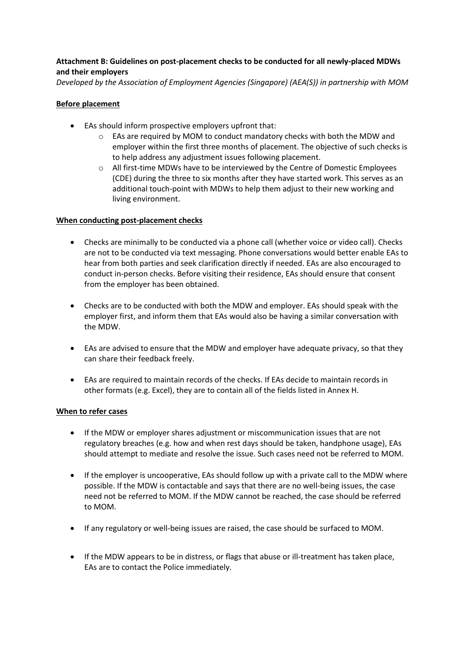# **Attachment B: Guidelines on post-placement checks to be conducted for all newly-placed MDWs and their employers**

*Developed by the Association of Employment Agencies (Singapore) (AEA(S)) in partnership with MOM*

### **Before placement**

- EAs should inform prospective employers upfront that:
	- $\circ$  EAs are required by MOM to conduct mandatory checks with both the MDW and employer within the first three months of placement. The objective of such checks is to help address any adjustment issues following placement.
	- $\circ$  All first-time MDWs have to be interviewed by the Centre of Domestic Employees (CDE) during the three to six months after they have started work. This serves as an additional touch-point with MDWs to help them adjust to their new working and living environment.

#### **When conducting post-placement checks**

- Checks are minimally to be conducted via a phone call (whether voice or video call). Checks are not to be conducted via text messaging. Phone conversations would better enable EAs to hear from both parties and seek clarification directly if needed. EAs are also encouraged to conduct in-person checks. Before visiting their residence, EAs should ensure that consent from the employer has been obtained.
- Checks are to be conducted with both the MDW and employer. EAs should speak with the employer first, and inform them that EAs would also be having a similar conversation with the MDW.
- EAs are advised to ensure that the MDW and employer have adequate privacy, so that they can share their feedback freely.
- EAs are required to maintain records of the checks. If EAs decide to maintain records in other formats (e.g. Excel), they are to contain all of the fields listed in Annex H.

#### **When to refer cases**

- If the MDW or employer shares adjustment or miscommunication issues that are not regulatory breaches (e.g. how and when rest days should be taken, handphone usage), EAs should attempt to mediate and resolve the issue. Such cases need not be referred to MOM.
- If the employer is uncooperative, EAs should follow up with a private call to the MDW where possible. If the MDW is contactable and says that there are no well-being issues, the case need not be referred to MOM. If the MDW cannot be reached, the case should be referred to MOM.
- If any regulatory or well-being issues are raised, the case should be surfaced to MOM.
- If the MDW appears to be in distress, or flags that abuse or ill-treatment has taken place, EAs are to contact the Police immediately.